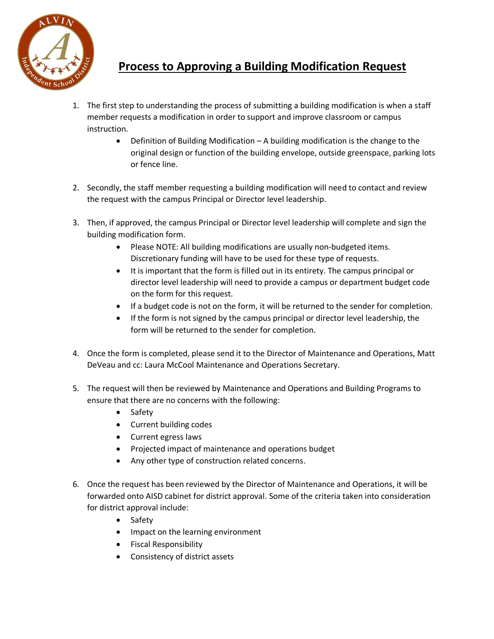

## **Process to Approving a Building Modification Request**

- 1. The first step to understanding the process of submitting a building modification is when a staff member requests a modification in order to support and improve classroom or campus instruction.
	- Definition of Building Modification A building modification is the change to the original design or function of the building envelope, outside greenspace, parking lots or fence line.
- 2. Secondly, the staff member requesting a building modification will need to contact and review the request with the campus Principal or Director level leadership.
- 3. Then, if approved, the campus Principal or Director level leadership will complete and sign the building modification form.
	- Please NOTE: All building modifications are usually non-budgeted items. Discretionary funding will have to be used for these type of requests.
	- It is important that the form is filled out in its entirety. The campus principal or director level leadership will need to provide a campus or department budget code on the form for this request.
	- If a budget code is not on the form, it will be returned to the sender for completion.
	- If the form is not signed by the campus principal or director level leadership, the form will be returned to the sender for completion.
- 4. Once the form is completed, please send it to the Director of Maintenance and Operations, Matt DeVeau and cc: Laura McCool Maintenance and Operations Secretary.
- 5. The request will then be reviewed by Maintenance and Operations and Building Programs to ensure that there are no concerns with the following:
	- Safety
	- Current building codes
	- Current egress laws
	- Projected impact of maintenance and operations budget
	- Any other type of construction related concerns.
- 6. Once the request has been reviewed by the Director of Maintenance and Operations, it will be forwarded onto AISD cabinet for district approval. Some of the criteria taken into consideration for district approval include:
	- Safety
	- Impact on the learning environment
	- **•** Fiscal Responsibility
	- Consistency of district assets